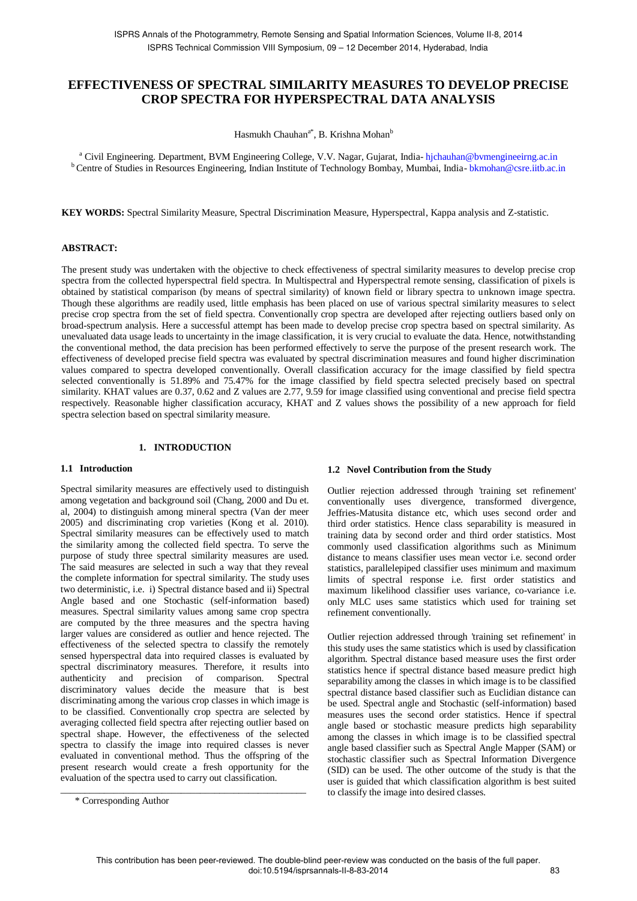# **EFFECTIVENESS OF SPECTRAL SIMILARITY MEASURES TO DEVELOP PRECISE CROP SPECTRA FOR HYPERSPECTRAL DATA ANALYSIS**

Hasmukh Chauhan<sup>a\*</sup>, B. Krishna Mohan<sup>b</sup>

<sup>a</sup> Civil Engineering. Department, BVM Engineering College, V.V. Nagar, Gujarat, India-hjchauhan@bvmengineeirng.ac.in <sup>b</sup> Centre of Studies in Resources Engineering, Indian Institute of Technology Bombay, Mumbai, India- bkmohan@csre.iitb.ac.in

**KEY WORDS:** Spectral Similarity Measure, Spectral Discrimination Measure, Hyperspectral, Kappa analysis and Z-statistic.

## **ABSTRACT:**

The present study was undertaken with the objective to check effectiveness of spectral similarity measures to develop precise crop spectra from the collected hyperspectral field spectra. In Multispectral and Hyperspectral remote sensing, classification of pixels is obtained by statistical comparison (by means of spectral similarity) of known field or library spectra to unknown image spectra. Though these algorithms are readily used, little emphasis has been placed on use of various spectral similarity measures to select precise crop spectra from the set of field spectra. Conventionally crop spectra are developed after rejecting outliers based only on broad-spectrum analysis. Here a successful attempt has been made to develop precise crop spectra based on spectral similarity. As unevaluated data usage leads to uncertainty in the image classification, it is very crucial to evaluate the data. Hence, notwithstanding the conventional method, the data precision has been performed effectively to serve the purpose of the present research work. The effectiveness of developed precise field spectra was evaluated by spectral discrimination measures and found higher discrimination values compared to spectra developed conventionally. Overall classification accuracy for the image classified by field spectra selected conventionally is 51.89% and 75.47% for the image classified by field spectra selected precisely based on spectral similarity. KHAT values are 0.37, 0.62 and Z values are 2.77, 9.59 for image classified using conventional and precise field spectra respectively. Reasonable higher classification accuracy, KHAT and Z values shows the possibility of a new approach for field spectra selection based on spectral similarity measure.

#### **1. INTRODUCTION**

#### **1.1 Introduction**

Spectral similarity measures are effectively used to distinguish among vegetation and background soil (Chang, 2000 and Du et. al, 2004) to distinguish among mineral spectra (Van der meer 2005) and discriminating crop varieties (Kong et al. 2010). Spectral similarity measures can be effectively used to match the similarity among the collected field spectra. To serve the purpose of study three spectral similarity measures are used. The said measures are selected in such a way that they reveal the complete information for spectral similarity. The study uses two deterministic, i.e. i) Spectral distance based and ii) Spectral Angle based and one Stochastic (self-information based) measures. Spectral similarity values among same crop spectra are computed by the three measures and the spectra having larger values are considered as outlier and hence rejected. The effectiveness of the selected spectra to classify the remotely sensed hyperspectral data into required classes is evaluated by spectral discriminatory measures. Therefore, it results into authenticity and precision of comparison. Spectral discriminatory values decide the measure that is best discriminating among the various crop classes in which image is to be classified. Conventionally crop spectra are selected by averaging collected field spectra after rejecting outlier based on spectral shape. However, the effectiveness of the selected spectra to classify the image into required classes is never evaluated in conventional method. Thus the offspring of the present research would create a fresh opportunity for the evaluation of the spectra used to carry out classification.

\_\_\_\_\_\_\_\_\_\_\_\_\_\_\_\_\_\_\_\_\_\_\_\_\_\_\_\_\_\_\_\_\_\_\_\_\_\_\_\_\_\_\_\_\_\_\_\_\_\_\_

#### **1.2 Novel Contribution from the Study**

Outlier rejection addressed through 'training set refinement' conventionally uses divergence, transformed divergence, Jeffries-Matusita distance etc, which uses second order and third order statistics. Hence class separability is measured in training data by second order and third order statistics. Most commonly used classification algorithms such as Minimum distance to means classifier uses mean vector i.e. second order statistics, parallelepiped classifier uses minimum and maximum limits of spectral response i.e. first order statistics and maximum likelihood classifier uses variance, co-variance i.e. only MLC uses same statistics which used for training set refinement conventionally.

Outlier rejection addressed through 'training set refinement' in this study uses the same statistics which is used by classification algorithm. Spectral distance based measure uses the first order statistics hence if spectral distance based measure predict high separability among the classes in which image is to be classified spectral distance based classifier such as Euclidian distance can be used. Spectral angle and Stochastic (self-information) based measures uses the second order statistics. Hence if spectral angle based or stochastic measure predicts high separability among the classes in which image is to be classified spectral angle based classifier such as Spectral Angle Mapper (SAM) or stochastic classifier such as Spectral Information Divergence (SID) can be used. The other outcome of the study is that the user is guided that which classification algorithm is best suited to classify the image into desired classes.

<sup>\*</sup> Corresponding Author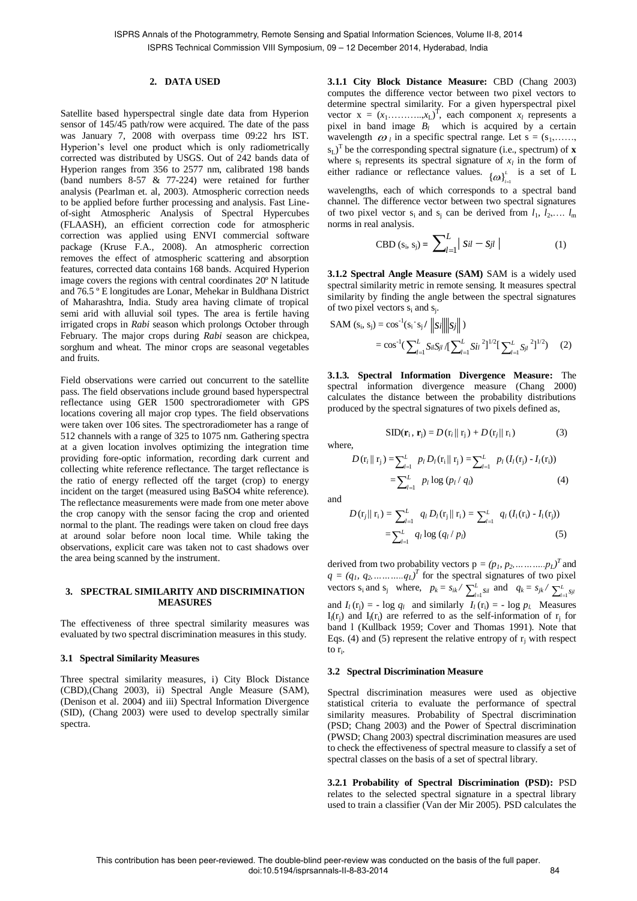norms in real analysis.

### **2. DATA USED**

Satellite based hyperspectral single date data from Hyperion sensor of 145/45 path/row were acquired. The date of the pass was January 7, 2008 with overpass time 09:22 hrs IST. Hyperion's level one product which is only radiometrically corrected was distributed by USGS. Out of 242 bands data of Hyperion ranges from 356 to 2577 nm, calibrated 198 bands (band numbers 8-57 & 77-224) were retained for further analysis (Pearlman et. al, 2003). Atmospheric correction needs to be applied before further processing and analysis. Fast Lineof-sight Atmospheric Analysis of Spectral Hypercubes (FLAASH), an efficient correction code for atmospheric correction was applied using ENVI commercial software package (Kruse F.A., 2008). An atmospheric correction removes the effect of atmospheric scattering and absorption features, corrected data contains 168 bands. Acquired Hyperion image covers the regions with central coordinates 20º N latitude and 76.5 º E longitudes are Lonar, Mehekar in Buldhana District of Maharashtra, India. Study area having climate of tropical semi arid with alluvial soil types. The area is fertile having irrigated crops in *Rabi* season which prolongs October through February. The major crops during *Rabi* season are chickpea, sorghum and wheat. The minor crops are seasonal vegetables and fruits.

Field observations were carried out concurrent to the satellite pass. The field observations include ground based hyperspectral reflectance using GER 1500 spectroradiometer with GPS locations covering all major crop types. The field observations were taken over 106 sites. The spectroradiometer has a range of 512 channels with a range of 325 to 1075 nm. Gathering spectra at a given location involves optimizing the integration time providing fore-optic information, recording dark current and collecting white reference reflectance. The target reflectance is the ratio of energy reflected off the target (crop) to energy incident on the target (measured using BaSO4 white reference). The reflectance measurements were made from one meter above the crop canopy with the sensor facing the crop and oriented normal to the plant. The readings were taken on cloud free days at around solar before noon local time. While taking the observations, explicit care was taken not to cast shadows over the area being scanned by the instrument.

#### **3. SPECTRAL SIMILARITY AND DISCRIMINATION MEASURES**

The effectiveness of three spectral similarity measures was evaluated by two spectral discrimination measures in this study.

#### **3.1 Spectral Similarity Measures**

Three spectral similarity measures, i) City Block Distance (CBD),(Chang 2003), ii) Spectral Angle Measure (SAM), (Denison et al. 2004) and iii) Spectral Information Divergence (SID), (Chang 2003) were used to develop spectrally similar spectra.

**3.1.1 City Block Distance Measure:** CBD (Chang 2003) computes the difference vector between two pixel vectors to determine spectral similarity. For a given hyperspectral pixel vector  $x = (x_1, \dots, x_L)^T$ , each component  $x_i$  represents a pixel in band image  $B_l$  which is acquired by a certain wavelength  $\omega_i$  in a specific spectral range. Let  $s = (s_1, \ldots, s_n)$ sL) T be the corresponding spectral signature (i.e., spectrum) of **x** where  $s_1$  represents its spectral signature of  $x_l$  in the form of either radiance or reflectance values.  $\{\omega\}_{i=1}^L$  is a set of L wavelengths, each of which corresponds to a spectral band channel. The difference vector between two spectral signatures of two pixel vector  $s_i$  and  $s_j$  can be derived from  $l_1, l_2, \ldots, l_m$ 

$$
CBD (s_i, s_j) = \sum_{l=1}^{L} |sil - s_{jl}|
$$
 (1)

**3.1.2 Spectral Angle Measure (SAM)** SAM is a widely used spectral similarity metric in remote sensing. It measures spectral similarity by finding the angle between the spectral signatures of two pixel vectors  $s_i$  and  $s_j$ .

$$
\begin{aligned} \text{SAM } (\mathbf{s}_{\mathbf{i}}, \, \mathbf{s}_{\mathbf{j}}) &= \cos^{-1}(\mathbf{s}_{\mathbf{i}} \cdot \mathbf{s}_{\mathbf{j}} \, / \, \left\| \mathbf{s}_{\mathbf{i}} \right\| \, \left\| \mathbf{s}_{\mathbf{j}} \right\| \, ) \\ &= \cos^{-1}(\sum_{l=1}^{L} S_{il} S_{jl} \, / \left[ \sum_{l=1}^{L} S_{il} \, ^2 \right]^{1/2} \left[ \sum_{l=1}^{L} S_{jl} \, ^2 \right]^{1/2}) \end{aligned} \tag{2}
$$

**3.1.3. Spectral Information Divergence Measure:** The spectral information divergence measure (Chang 2000) calculates the distance between the probability distributions produced by the spectral signatures of two pixels defined as,

$$
SID(\mathbf{r}_{i}, \mathbf{r}_{j}) = D(r_{i} \| r_{j}) + D(r_{j} \| r_{i})
$$
\n(3)

$$
D(\mathbf{r}_{i} \| \mathbf{r}_{j}) = \sum_{l=1}^{L} p_{l} D_{l}(\mathbf{r}_{i} \| \mathbf{r}_{j}) = \sum_{l=1}^{L} p_{l} (I_{l}(\mathbf{r}_{j}) - I_{l}(\mathbf{r}_{i}))
$$
  
= 
$$
\sum_{l=1}^{L} p_{l} \log (p_{l} / q_{l})
$$
 (4)

and

where,

$$
D(r_j||r_i) = \sum_{l=1}^{L} q_l D_l(r_j||r_i) = \sum_{l=1}^{L} q_l (I_1(r_i) - I_1(r_j))
$$
  
= 
$$
\sum_{l=1}^{L} q_l \log (q_l / p_l)
$$
 (5)

derived from two probability vectors  $p = (p_1, p_2, \dots, p_L)^T$  and  $q = (q_1, q_2, \ldots, q_L)^T$  for the spectral signatures of two pixel vectors  $s_i$  and  $s_j$  where,  $p_k = s_{ik} / \sum_{l=1}^{L}$ *l*<sub>*l*</sub>  $I_{kl}$  and  $q_k = s_{jk} / \sum_{l=1}^{L} s_{jl}$ and  $I_l$  (r<sub>j</sub>) = - log  $q_l$  and similarly  $I_l$  (r<sub>i</sub>) = - log  $p_l$ . Measures  $I_l(r_j)$  and  $I_l(r_i)$  are referred to as the self-information of  $r_j$  for band l (Kullback 1959; Cover and Thomas 1991). Note that Eqs. (4) and (5) represent the relative entropy of  $r_j$  with respect to  $r_i$ .

#### **3.2 Spectral Discrimination Measure**

Spectral discrimination measures were used as objective statistical criteria to evaluate the performance of spectral similarity measures. Probability of Spectral discrimination (PSD; Chang 2003) and the Power of Spectral discrimination (PWSD; Chang 2003) spectral discrimination measures are used to check the effectiveness of spectral measure to classify a set of spectral classes on the basis of a set of spectral library.

**3.2.1 Probability of Spectral Discrimination (PSD):** PSD relates to the selected spectral signature in a spectral library used to train a classifier (Van der Mir 2005). PSD calculates the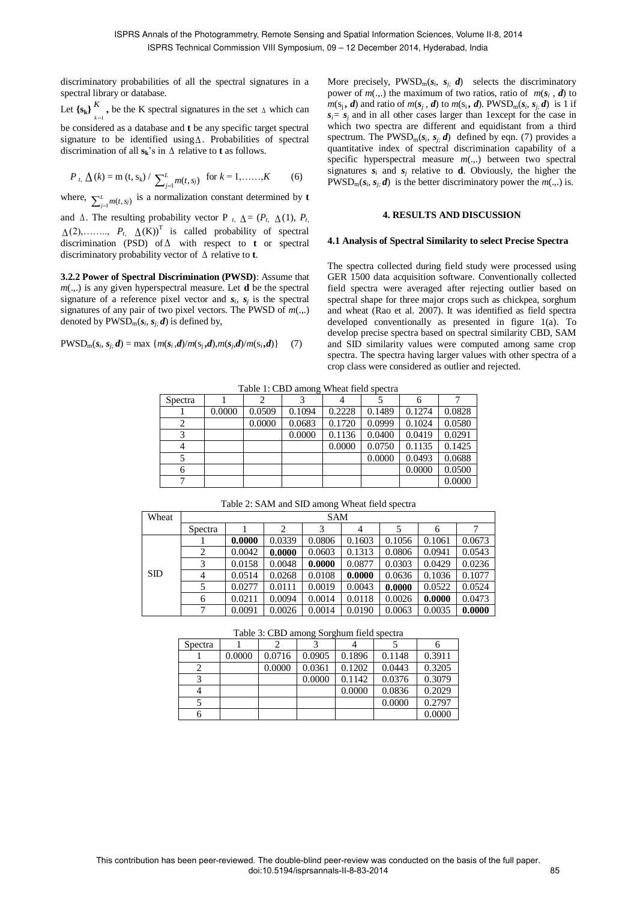discriminatory probabilities of all the spectral signatures in a spectral library or database.

Let  $\{s_k\}$ <sup>*K*</sup>  $\sum_{k=1}^{K}$ , be the K spectral signatures in the set  $\Delta$  which can

be considered as a database and **t** be any specific target spectral signature to be identified using  $\Delta$ . Probabilities of spectral discrimination of all  $s_k$ 's in  $\Delta$  relative to **t** as follows.

$$
P_{t_i} \Delta(k) = m(t, s_k) / \sum_{j=1}^{L} m(t, s_j)
$$
 for  $k = 1, \dots, K$  (6)

where,  $\sum_{j=1}^{L}$  $\sum_{j=1}^{L} m(t, s_j)$  is a normalization constant determined by **t** 

and  $\Delta$ . The resulting probability vector P  $_{t}$ ,  $\Delta = (P_{t} \Delta(1), P_{t}$  $\Delta(2), \ldots, P_t, \Delta(K)^{T}$  is called probability of spectral discrimination (PSD) of  $\Delta$  with respect to **t** or spectral discriminatory probability vector of  $\Delta$  relative to **t**.

**3.2.2 Power of Spectral Discrimination (PWSD)**: Assume that *m*(.,.) is any given hyperspectral measure. Let **d** be the spectral signature of a reference pixel vector and  $s_i$ ,  $s_j$  is the spectral signatures of any pair of two pixel vectors. The PWSD of *m*(.,.) denoted by  $PWSD_m(s_i, s_j; d)$  is defined by,

$$
PWSD_m(s_i, s_j, d) = \max \{m(s_i, d)/m(s_j, d), m(s_j, d)/m(s_i, d)\} \tag{7}
$$

More precisely,  $PWSD_m(s_i, s_j; d)$  selects the discriminatory power of  $m(.,.)$  the maximum of two ratios, ratio of  $m(s_i, d)$  to  $m(s_j, d)$  and ratio of  $m(s_j, d)$  to  $m(s_i, d)$ . PWSD<sub>m</sub>( $s_i, s_j, d$ ) is 1 if  $s_i = s_j$  and in all other cases larger than 1except for the case in which two spectra are different and equidistant from a third spectrum. The PWSD<sub>m</sub>( $s_i$ ,  $s_j$ ,  $d$ ) defined by eqn. (7) provides a quantitative index of spectral discrimination capability of a specific hyperspectral measure  $m(.,.)$  between two spectral signatures  $s_i$  and  $s_j$  relative to **d**. Obviously, the higher the  $PWSD_m(s_i, s_j; d)$  is the better discriminatory power the  $m(.,.)$  is.

### **4. RESULTS AND DISCUSSION**

#### **4.1 Analysis of Spectral Similarity to select Precise Spectra**

The spectra collected during field study were processed using GER 1500 data acquisition software. Conventionally collected field spectra were averaged after rejecting outlier based on spectral shape for three major crops such as chickpea, sorghum and wheat (Rao et al. 2007). It was identified as field spectra developed conventionally as presented in figure 1(a). To develop precise spectra based on spectral similarity CBD, SAM and SID similarity values were computed among same crop spectra. The spectra having larger values with other spectra of a crop class were considered as outlier and rejected.

Table 1: CBD among Wheat field spectra

| Spectra |        |        |        |        |        |        |        |
|---------|--------|--------|--------|--------|--------|--------|--------|
|         | 0.0000 | 0.0509 | 0.1094 | 0.2228 | 0.1489 | 0.1274 | 0.0828 |
|         |        | 0.0000 | 0.0683 | 0.1720 | 0.0999 | 0.1024 | 0.0580 |
|         |        |        | 0.0000 | 0.1136 | 0.0400 | 0.0419 | 0.0291 |
| 4       |        |        |        | 0.0000 | 0.0750 | 0.1135 | 0.1425 |
|         |        |        |        |        | 0.0000 | 0.0493 | 0.0688 |
|         |        |        |        |        |        | 0.0000 | 0.0500 |
|         |        |        |        |        |        |        | 0.0000 |

Table 2: SAM and SID among Wheat field spectra

| Wheat |                | <b>SAM</b> |        |        |                |        |        |        |  |
|-------|----------------|------------|--------|--------|----------------|--------|--------|--------|--|
|       | Spectra        |            | 2      | 3      | $\overline{4}$ |        | 6      | 7      |  |
|       |                | 0.0000     | 0.0339 | 0.0806 | 0.1603         | 0.1056 | 0.1061 | 0.0673 |  |
|       | 2              | 0.0042     | 0.0000 | 0.0603 | 0.1313         | 0.0806 | 0.0941 | 0.0543 |  |
|       | 3              | 0.0158     | 0.0048 | 0.0000 | 0.0877         | 0.0303 | 0.0429 | 0.0236 |  |
| SD    | $\overline{4}$ | 0.0514     | 0.0268 | 0.0108 | 0.0000         | 0.0636 | 0.1036 | 0.1077 |  |
|       | 5              | 0.0277     | 0.0111 | 0.0019 | 0.0043         | 0.0000 | 0.0522 | 0.0524 |  |
|       | 6              | 0.0211     | 0.0094 | 0.0014 | 0.0118         | 0.0026 | 0.0000 | 0.0473 |  |
|       | $\overline{7}$ | 0.0091     | 0.0026 | 0.0014 | 0.0190         | 0.0063 | 0.0035 | 0.0000 |  |

Table 3: CBD among Sorghum field spectra

| Spectra |        |        |        |        |        |        |
|---------|--------|--------|--------|--------|--------|--------|
|         | 0.0000 | 0.0716 | 0.0905 | 0.1896 | 0.1148 | 0.3911 |
|         |        | 0.0000 | 0.0361 | 0.1202 | 0.0443 | 0.3205 |
|         |        |        | 0.0000 | 0.1142 | 0.0376 | 0.3079 |
|         |        |        |        | 0.0000 | 0.0836 | 0.2029 |
|         |        |        |        |        | 0.0000 | 0.2797 |
|         |        |        |        |        |        | 0.0000 |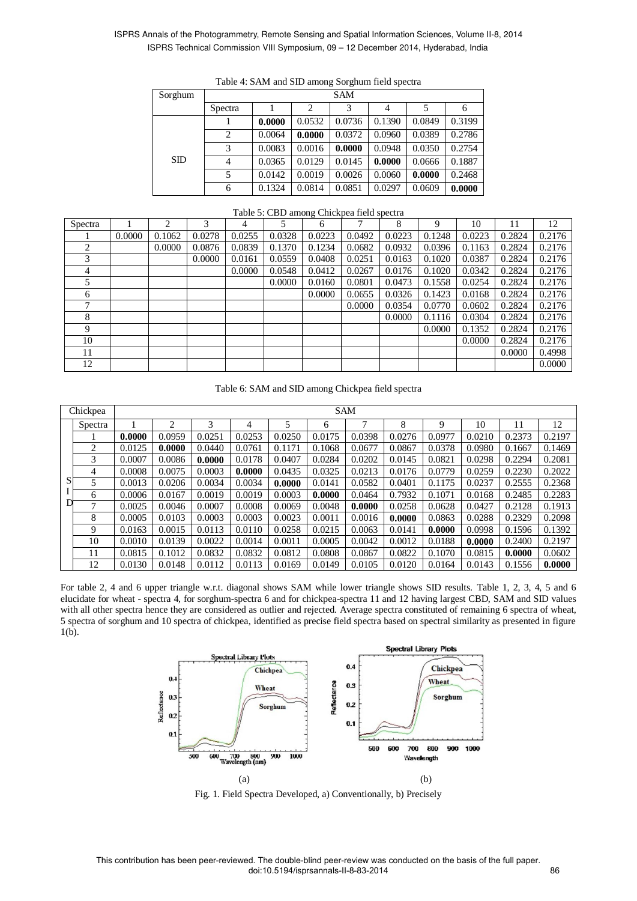## ISPRS Annals of the Photogrammetry, Remote Sensing and Spatial Information Sciences, Volume II-8, 2014 ISPRS Technical Commission VIII Symposium, 09 – 12 December 2014, Hyderabad, India

| Sorghum | <b>SAM</b>     |        |                |        |        |        |        |  |  |  |
|---------|----------------|--------|----------------|--------|--------|--------|--------|--|--|--|
|         | Spectra        |        | $\overline{c}$ | 3      | 4      |        | 6      |  |  |  |
|         |                | 0.0000 | 0.0532         | 0.0736 | 0.1390 | 0.0849 | 0.3199 |  |  |  |
|         | 2              | 0.0064 | 0.0000         | 0.0372 | 0.0960 | 0.0389 | 0.2786 |  |  |  |
|         | 3              | 0.0083 | 0.0016         | 0.0000 | 0.0948 | 0.0350 | 0.2754 |  |  |  |
| SD      | $\overline{4}$ | 0.0365 | 0.0129         | 0.0145 | 0.0000 | 0.0666 | 0.1887 |  |  |  |
|         | 5              | 0.0142 | 0.0019         | 0.0026 | 0.0060 | 0.0000 | 0.2468 |  |  |  |
|         | 6              | 0.1324 | 0.0814         | 0.0851 | 0.0297 | 0.0609 | 0.0000 |  |  |  |

## Table 4: SAM and SID among Sorghum field spectra

#### Table 5: CBD among Chickpea field spectra

| Spectra |        | ◠      | 3      | 4      |        | $\check{ }$<br>6 | $\mathbf{r}$ | 8      | 9      | 10     |        | 12     |
|---------|--------|--------|--------|--------|--------|------------------|--------------|--------|--------|--------|--------|--------|
|         | 0.0000 | 0.1062 | 0.0278 | 0.0255 | 0.0328 | 0.0223           | 0.0492       | 0.0223 | 0.1248 | 0.0223 | 0.2824 | 0.2176 |
| 2       |        | 0.0000 | 0.0876 | 0.0839 | 0.1370 | 0.1234           | 0.0682       | 0.0932 | 0.0396 | 0.1163 | 0.2824 | 0.2176 |
| 3       |        |        | 0.0000 | 0.0161 | 0.0559 | 0.0408           | 0.0251       | 0.0163 | 0.1020 | 0.0387 | 0.2824 | 0.2176 |
| 4       |        |        |        | 0.0000 | 0.0548 | 0.0412           | 0.0267       | 0.0176 | 0.1020 | 0.0342 | 0.2824 | 0.2176 |
| 5       |        |        |        |        | 0.0000 | 0.0160           | 0.0801       | 0.0473 | 0.1558 | 0.0254 | 0.2824 | 0.2176 |
| 6       |        |        |        |        |        | 0.0000           | 0.0655       | 0.0326 | 0.1423 | 0.0168 | 0.2824 | 0.2176 |
| 7       |        |        |        |        |        |                  | 0.0000       | 0.0354 | 0.0770 | 0.0602 | 0.2824 | 0.2176 |
| 8       |        |        |        |        |        |                  |              | 0.0000 | 0.1116 | 0.0304 | 0.2824 | 0.2176 |
| 9       |        |        |        |        |        |                  |              |        | 0.0000 | 0.1352 | 0.2824 | 0.2176 |
| 10      |        |        |        |        |        |                  |              |        |        | 0.0000 | 0.2824 | 0.2176 |
| 11      |        |        |        |        |        |                  |              |        |        |        | 0.0000 | 0.4998 |
| 12      |        |        |        |        |        |                  |              |        |        |        |        | 0.0000 |

Table 6: SAM and SID among Chickpea field spectra

|   | Chickpea |        | <b>SAM</b> |        |        |        |        |        |        |        |        |        |        |
|---|----------|--------|------------|--------|--------|--------|--------|--------|--------|--------|--------|--------|--------|
|   | Spectra  |        | 2          | 3      | 4      | 5      | 6      |        | 8      | 9      | 10     | 11     | 12     |
|   |          | 0.0000 | 0.0959     | 0.0251 | 0.0253 | 0.0250 | 0.0175 | 0.0398 | 0.0276 | 0.0977 | 0.0210 | 0.2373 | 0.2197 |
|   | 2        | 0.0125 | 0.0000     | 0.0440 | 0.0761 | 0.1171 | 0.1068 | 0.0677 | 0.0867 | 0.0378 | 0.0980 | 0.1667 | 0.1469 |
|   | 3        | 0.0007 | 0.0086     | 0.0000 | 0.0178 | 0.0407 | 0.0284 | 0.0202 | 0.0145 | 0.0821 | 0.0298 | 0.2294 | 0.2081 |
|   | 4        | 0.0008 | 0.0075     | 0.0003 | 0.0000 | 0.0435 | 0.0325 | 0.0213 | 0.0176 | 0.0779 | 0.0259 | 0.2230 | 0.2022 |
| S | 5.       | 0.0013 | 0.0206     | 0.0034 | 0.0034 | 0.0000 | 0.0141 | 0.0582 | 0.0401 | 0.1175 | 0.0237 | 0.2555 | 0.2368 |
|   | 6        | 0.0006 | 0.0167     | 0.0019 | 0.0019 | 0.0003 | 0.0000 | 0.0464 | 0.7932 | 0.1071 | 0.0168 | 0.2485 | 0.2283 |
|   | 7        | 0.0025 | 0.0046     | 0.0007 | 0.0008 | 0.0069 | 0.0048 | 0.0000 | 0.0258 | 0.0628 | 0.0427 | 0.2128 | 0.1913 |
|   | 8        | 0.0005 | 0.0103     | 0.0003 | 0.0003 | 0.0023 | 0.0011 | 0.0016 | 0.0000 | 0.0863 | 0.0288 | 0.2329 | 0.2098 |
|   | 9        | 0.0163 | 0.0015     | 0.0113 | 0.0110 | 0.0258 | 0.0215 | 0.0063 | 0.0141 | 0.0000 | 0.0998 | 0.1596 | 0.1392 |
|   | 10       | 0.0010 | 0.0139     | 0.0022 | 0.0014 | 0.0011 | 0.0005 | 0.0042 | 0.0012 | 0.0188 | 0.0000 | 0.2400 | 0.2197 |
|   | 11       | 0.0815 | 0.1012     | 0.0832 | 0.0832 | 0.0812 | 0.0808 | 0.0867 | 0.0822 | 0.1070 | 0.0815 | 0.0000 | 0.0602 |
|   | 12       | 0.0130 | 0.0148     | 0.0112 | 0.0113 | 0.0169 | 0.0149 | 0.0105 | 0.0120 | 0.0164 | 0.0143 | 0.1556 | 0.0000 |

For table 2, 4 and 6 upper triangle w.r.t. diagonal shows SAM while lower triangle shows SID results. Table 1, 2, 3, 4, 5 and 6 elucidate for wheat - spectra 4, for sorghum-spectra 6 and for chickpea-spectra 11 and 12 having largest CBD, SAM and SID values with all other spectra hence they are considered as outlier and rejected. Average spectra constituted of remaining 6 spectra of wheat, 5 spectra of sorghum and 10 spectra of chickpea, identified as precise field spectra based on spectral similarity as presented in figure 1(b).



Fig. 1. Field Spectra Developed, a) Conventionally, b) Precisely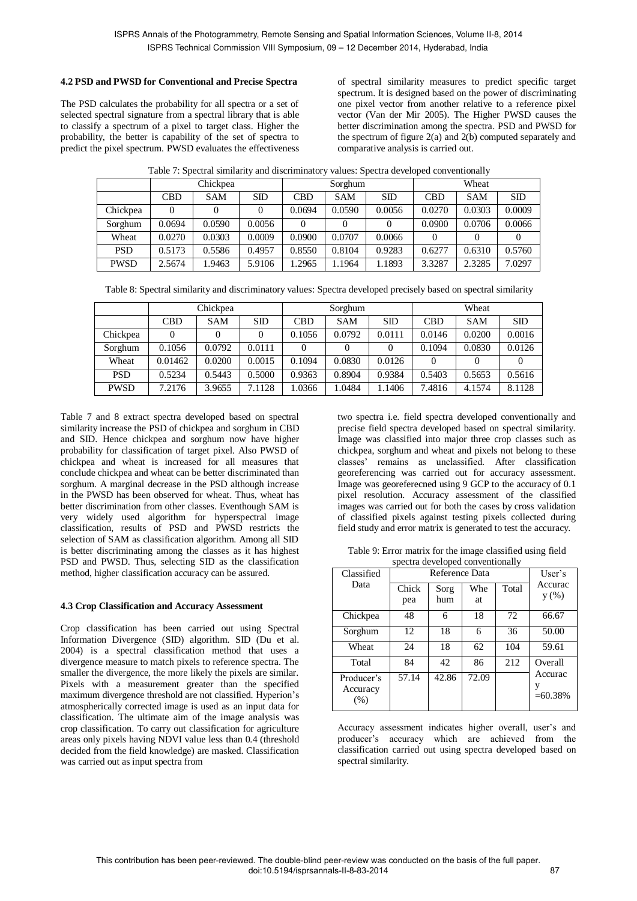## **4.2 PSD and PWSD for Conventional and Precise Spectra**

The PSD calculates the probability for all spectra or a set of selected spectral signature from a spectral library that is able to classify a spectrum of a pixel to target class. Higher the probability, the better is capability of the set of spectra to predict the pixel spectrum. PWSD evaluates the effectiveness of spectral similarity measures to predict specific target spectrum. It is designed based on the power of discriminating one pixel vector from another relative to a reference pixel vector (Van der Mir 2005). The Higher PWSD causes the better discrimination among the spectra. PSD and PWSD for the spectrum of figure 2(a) and 2(b) computed separately and comparative analysis is carried out.

|             |        | Chickpea   |        |            | Sorghum    |        | Wheat      |            |        |
|-------------|--------|------------|--------|------------|------------|--------|------------|------------|--------|
|             | CBD    | <b>SAM</b> | SD     | <b>CBD</b> | <b>SAM</b> | SD     | <b>CBD</b> | <b>SAM</b> | SD     |
| Chickpea    |        |            |        | 0.0694     | 0.0590     | 0.0056 | 0.0270     | 0.0303     | 0.0009 |
| Sorghum     | 0.0694 | 0.0590     | 0.0056 |            |            |        | 0.0900     | 0.0706     | 0.0066 |
| Wheat       | 0.0270 | 0.0303     | 0.0009 | 0.0900     | 0.0707     | 0.0066 |            |            |        |
| <b>PSD</b>  | 0.5173 | 0.5586     | 0.4957 | 0.8550     | 0.8104     | 0.9283 | 0.6277     | 0.6310     | 0.5760 |
| <b>PWSD</b> | 2.5674 | 1.9463     | 5.9106 | .2965      | .1964      | 1.1893 | 3.3287     | 2.3285     | 7.0297 |

Table 7: Spectral similarity and discriminatory values: Spectra developed conventionally

|  |  |  | Table 8: Spectral similarity and discriminatory values: Spectra developed precisely based on spectral similarity |
|--|--|--|------------------------------------------------------------------------------------------------------------------|
|  |  |  |                                                                                                                  |
|  |  |  |                                                                                                                  |

|             | Chickpea   |            |            |            | Sorghum    |            | Wheat      |            |        |
|-------------|------------|------------|------------|------------|------------|------------|------------|------------|--------|
|             | <b>CBD</b> | <b>SAM</b> | <b>SID</b> | <b>CBD</b> | <b>SAM</b> | <b>SID</b> | <b>CBD</b> | <b>SAM</b> | SD     |
| Chickpea    |            |            |            | 0.1056     | 0.0792     | 0.0111     | 0.0146     | 0.0200     | 0.0016 |
| Sorghum     | 0.1056     | 0.0792     | 0.0111     |            |            |            | 0.1094     | 0.0830     | 0.0126 |
| Wheat       | 0.01462    | 0.0200     | 0.0015     | 0.1094     | 0.0830     | 0.0126     | $\Omega$   |            |        |
| <b>PSD</b>  | 0.5234     | 0.5443     | 0.5000     | 0.9363     | 0.8904     | 0.9384     | 0.5403     | 0.5653     | 0.5616 |
| <b>PWSD</b> | 7.2176     | 3.9655     | 7.1128     | 1.0366     | .0484      | .1406      | 7.4816     | 4.1574     | 8.1128 |

Table 7 and 8 extract spectra developed based on spectral similarity increase the PSD of chickpea and sorghum in CBD and SID. Hence chickpea and sorghum now have higher probability for classification of target pixel. Also PWSD of chickpea and wheat is increased for all measures that conclude chickpea and wheat can be better discriminated than sorghum. A marginal decrease in the PSD although increase in the PWSD has been observed for wheat. Thus, wheat has better discrimination from other classes. Eventhough SAM is very widely used algorithm for hyperspectral image classification, results of PSD and PWSD restricts the selection of SAM as classification algorithm. Among all SID is better discriminating among the classes as it has highest PSD and PWSD. Thus, selecting SID as the classification method, higher classification accuracy can be assured.

## **4.3 Crop Classification and Accuracy Assessment**

Crop classification has been carried out using Spectral Information Divergence (SID) algorithm. SID (Du et al. 2004) is a spectral classification method that uses a divergence measure to match pixels to reference spectra. The smaller the divergence, the more likely the pixels are similar. Pixels with a measurement greater than the specified maximum divergence threshold are not classified. Hyperion's atmospherically corrected image is used as an input data for classification. The ultimate aim of the image analysis was crop classification. To carry out classification for agriculture areas only pixels having NDVI value less than 0.4 (threshold decided from the field knowledge) are masked. Classification was carried out as input spectra from

two spectra i.e. field spectra developed conventionally and precise field spectra developed based on spectral similarity. Image was classified into major three crop classes such as chickpea, sorghum and wheat and pixels not belong to these classes' remains as unclassified. After classification georeferencing was carried out for accuracy assessment. Image was georeferecned using 9 GCP to the accuracy of 0.1 pixel resolution. Accuracy assessment of the classified images was carried out for both the cases by cross validation of classified pixels against testing pixels collected during field study and error matrix is generated to test the accuracy.

Table 9: Error matrix for the image classified using field spectra developed conventionally

| Classified                       |              | Reference Data |           |       | User's                |
|----------------------------------|--------------|----------------|-----------|-------|-----------------------|
| Data                             | Chick<br>pea | Sorg<br>hum    | Whe<br>at | Total | Accurac<br>y(%)       |
| Chickpea                         | 48           | 6              | 18        | 72    | 66.67                 |
| Sorghum                          | 12           | 18             | 6         | 36    | 50.00                 |
| Wheat                            | 24           | 18             | 62        | 104   | 59.61                 |
| Total                            | 84           | 42.            | 86        | 212   | Overall               |
| Producer's<br>Accuracy<br>$(\%)$ | 57.14        | 42.86          | 72.09     |       | Accurac<br>$=60.38\%$ |

Accuracy assessment indicates higher overall, user's and producer's accuracy which are achieved from the classification carried out using spectra developed based on spectral similarity.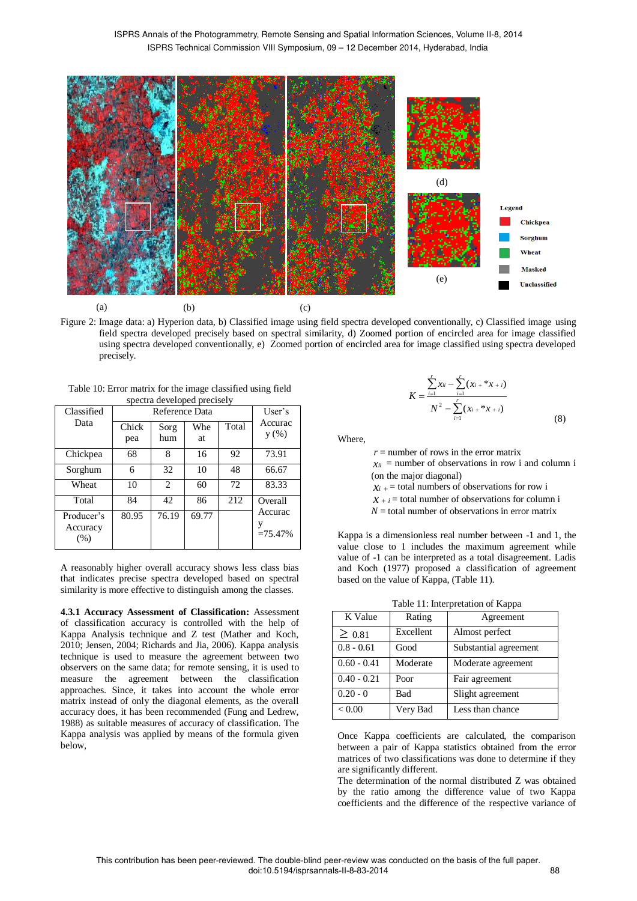

Figure 2: Image data: a) Hyperion data, b) Classified image using field spectra developed conventionally, c) Classified image using field spectra developed precisely based on spectral similarity, d) Zoomed portion of encircled area for image classified using spectra developed conventionally, e) Zoomed portion of encircled area for image classified using spectra developed precisely.

Table 10: Error matrix for the image classified using field spectra developed precisely

| Classified |       | Reference Data              |       |     | User's    |
|------------|-------|-----------------------------|-------|-----|-----------|
| Data       | Chick | Accurac<br>y(%)             |       |     |           |
|            | pea   | hum                         | at    |     |           |
| Chickpea   | 68    | 8                           | 16    | 92  | 73.91     |
| Sorghum    | 6     | 32                          | 10    | 48  | 66.67     |
| Wheat      | 10    | $\mathcal{D}_{\mathcal{L}}$ | 60    | 72  | 83.33     |
| Total      | 84    | 42.                         | 86    | 212 | Overall   |
| Producer's | 80.95 | 76.19                       | 69.77 |     | Accurac   |
| Accuracy   |       |                             |       |     | $=75.47%$ |
| (% )       |       |                             |       |     |           |

A reasonably higher overall accuracy shows less class bias that indicates precise spectra developed based on spectral similarity is more effective to distinguish among the classes.

**4.3.1 Accuracy Assessment of Classification:** Assessment of classification accuracy is controlled with the help of Kappa Analysis technique and Z test (Mather and Koch, 2010; Jensen, 2004; Richards and Jia, 2006). Kappa analysis technique is used to measure the agreement between two observers on the same data; for remote sensing, it is used to measure the agreement between the classification approaches. Since, it takes into account the whole error matrix instead of only the diagonal elements, as the overall accuracy does, it has been recommended (Fung and Ledrew, 1988) as suitable measures of accuracy of classification. The Kappa analysis was applied by means of the formula given below,

$$
K = \frac{\sum_{i=1}^{r} x_{ii} - \sum_{i=1}^{r} (x_{i} + x_{i} + i)}{N^{2} - \sum_{i=1}^{r} (x_{i} + x_{i} + i)}
$$
(8)

Where,

 $r =$  number of rows in the error matrix  $x_{ii}$  = number of observations in row i and column i (on the major diagonal)

 $x_i$  + = total numbers of observations for row i

 $x + i$  = total number of observations for column i

 $N =$  total number of observations in error matrix

Kappa is a dimensionless real number between -1 and 1, the value close to 1 includes the maximum agreement while value of -1 can be interpreted as a total disagreement. Ladis and Koch (1977) proposed a classification of agreement based on the value of Kappa, (Table 11).

Table 11: Interpretation of Kappa

| K Value       | Rating    | Agreement             |
|---------------|-----------|-----------------------|
| $\geq 0.81$   | Excellent | Almost perfect        |
| $0.8 - 0.61$  | Good      | Substantial agreement |
| $0.60 - 0.41$ | Moderate  | Moderate agreement    |
| $0.40 - 0.21$ | Poor      | Fair agreement        |
| $0.20 - 0$    | Bad       | Slight agreement      |
| < 0.00        | Very Bad  | Less than chance      |

Once Kappa coefficients are calculated, the comparison between a pair of Kappa statistics obtained from the error matrices of two classifications was done to determine if they are significantly different.

agreement

The determination of the normal distributed Z was obtained by the ratio among the difference value of two Kappa coefficients and the difference of the respective variance of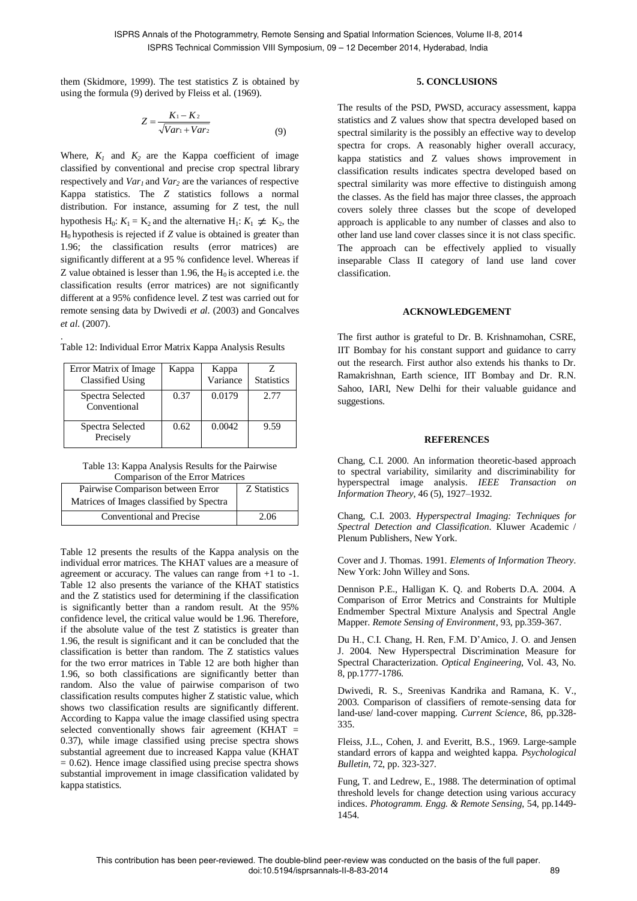them (Skidmore, 1999). The test statistics Z is obtained by using the formula (9) derived by Fleiss et al. (1969).

$$
Z = \frac{K_1 - K_2}{\sqrt{Var_1 + Var_2}}\tag{9}
$$

Where,  $K_1$  and  $K_2$  are the Kappa coefficient of image classified by conventional and precise crop spectral library respectively and *Var<sup>1</sup>* and *Var<sup>2</sup>* are the variances of respective Kappa statistics. The *Z* statistics follows a normal distribution. For instance, assuming for *Z* test, the null hypothesis H<sub>0</sub>:  $K_1 = K_2$  and the alternative H<sub>1</sub>:  $K_1 \neq K_2$ , the  $H_0$  hypothesis is rejected if  $Z$  value is obtained is greater than 1.96; the classification results (error matrices) are significantly different at a 95 % confidence level. Whereas if Z value obtained is lesser than 1.96, the  $H_0$  is accepted i.e. the classification results (error matrices) are not significantly different at a 95% confidence level. *Z* test was carried out for remote sensing data by Dwivedi *et al*. (2003) and Goncalves *et al*. (2007).

| Table 12: Individual Error Matrix Kappa Analysis Results |
|----------------------------------------------------------|
|----------------------------------------------------------|

.

| Error Matrix of Image<br><b>Classified Using</b> | Kappa | Kappa<br>Variance | <b>Statistics</b> |
|--------------------------------------------------|-------|-------------------|-------------------|
| Spectra Selected<br>Conventional                 | 0.37  | 0.0179            | 2.77              |
| Spectra Selected<br>Precisely                    | 0.62  | 0.0042            | 9.59              |

Table 13: Kappa Analysis Results for the Pairwise Comparison of the Error Matrices

| Comparison of the Error Matrices         |              |  |  |  |
|------------------------------------------|--------------|--|--|--|
| Pairwise Comparison between Error        | Z Statistics |  |  |  |
| Matrices of Images classified by Spectra |              |  |  |  |
| Conventional and Precise                 | 2.06         |  |  |  |

Table 12 presents the results of the Kappa analysis on the individual error matrices. The KHAT values are a measure of agreement or accuracy. The values can range from +1 to -1. Table 12 also presents the variance of the KHAT statistics and the Z statistics used for determining if the classification is significantly better than a random result. At the 95% confidence level, the critical value would be 1.96. Therefore, if the absolute value of the test Z statistics is greater than 1.96, the result is significant and it can be concluded that the classification is better than random. The Z statistics values for the two error matrices in Table 12 are both higher than 1.96, so both classifications are significantly better than random. Also the value of pairwise comparison of two classification results computes higher Z statistic value, which shows two classification results are significantly different. According to Kappa value the image classified using spectra selected conventionally shows fair agreement (KHAT = 0.37), while image classified using precise spectra shows substantial agreement due to increased Kappa value (KHAT  $= 0.62$ ). Hence image classified using precise spectra shows substantial improvement in image classification validated by kappa statistics.

## **5. CONCLUSIONS**

The results of the PSD, PWSD, accuracy assessment, kappa statistics and Z values show that spectra developed based on spectral similarity is the possibly an effective way to develop spectra for crops. A reasonably higher overall accuracy, kappa statistics and Z values shows improvement in classification results indicates spectra developed based on spectral similarity was more effective to distinguish among the classes. As the field has major three classes, the approach covers solely three classes but the scope of developed approach is applicable to any number of classes and also to other land use land cover classes since it is not class specific. The approach can be effectively applied to visually inseparable Class II category of land use land cover classification.

### **ACKNOWLEDGEMENT**

The first author is grateful to Dr. B. Krishnamohan, CSRE, IIT Bombay for his constant support and guidance to carry out the research. First author also extends his thanks to Dr. Ramakrishnan, Earth science, IIT Bombay and Dr. R.N. Sahoo, IARI, New Delhi for their valuable guidance and suggestions.

## **REFERENCES**

Chang, C.I. 2000. An information theoretic-based approach to spectral variability, similarity and discriminability for hyperspectral image analysis. *IEEE Transaction on Information Theory*, 46 (5), 1927–1932.

Chang, C.I. 2003. *Hyperspectral Imaging: Techniques for Spectral Detection and Classification*. Kluwer Academic / Plenum Publishers, New York.

Cover and J. Thomas. 1991. *Elements of Information Theory.* New York: John Willey and Sons.

Dennison P.E., Halligan K. Q. and Roberts D.A. 2004. A Comparison of Error Metrics and Constraints for Multiple Endmember Spectral Mixture Analysis and Spectral Angle Mapper. *Remote Sensing of Environment*, 93, pp.359-367.

Du H., C.I. Chang, H. Ren, F.M. D'Amico, J. O. and Jensen J. 2004. New Hyperspectral Discrimination Measure for Spectral Characterization. *Optical Engineering*, Vol. 43, No. 8, pp.1777-1786.

Dwivedi, R. S., Sreenivas Kandrika and Ramana, K. V., 2003. Comparison of classifiers of remote-sensing data for land-use/ land-cover mapping. *Current Science*, 86, pp.328- 335.

Fleiss, J.L., Cohen, J. and Everitt, B.S., 1969. Large-sample standard errors of kappa and weighted kappa. *Psychological Bulletin*, 72, pp. 323-327.

Fung, T. and Ledrew, E., 1988. The determination of optimal threshold levels for change detection using various accuracy indices. *Photogramm. Engg. & Remote Sensing*, 54, pp.1449- 1454.